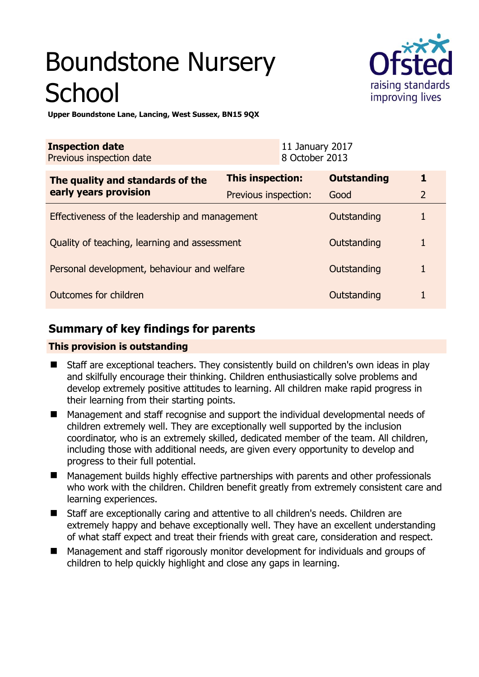# Boundstone Nursery **School**



**Upper Boundstone Lane, Lancing, West Sussex, BN15 9QX** 

| <b>Inspection date</b><br>Previous inspection date        |                         | 11 January 2017<br>8 October 2013 |                    |                |
|-----------------------------------------------------------|-------------------------|-----------------------------------|--------------------|----------------|
| The quality and standards of the<br>early years provision | <b>This inspection:</b> |                                   | <b>Outstanding</b> | 1              |
|                                                           | Previous inspection:    |                                   | Good               | $\overline{2}$ |
| Effectiveness of the leadership and management            |                         |                                   | Outstanding        |                |
| Quality of teaching, learning and assessment              |                         |                                   | Outstanding        |                |
| Personal development, behaviour and welfare               |                         |                                   | Outstanding        |                |
| Outcomes for children                                     |                         |                                   | Outstanding        |                |

# **Summary of key findings for parents**

## **This provision is outstanding**

- Staff are exceptional teachers. They consistently build on children's own ideas in play and skilfully encourage their thinking. Children enthusiastically solve problems and develop extremely positive attitudes to learning. All children make rapid progress in their learning from their starting points.
- Management and staff recognise and support the individual developmental needs of children extremely well. They are exceptionally well supported by the inclusion coordinator, who is an extremely skilled, dedicated member of the team. All children, including those with additional needs, are given every opportunity to develop and progress to their full potential.
- Management builds highly effective partnerships with parents and other professionals who work with the children. Children benefit greatly from extremely consistent care and learning experiences.
- Staff are exceptionally caring and attentive to all children's needs. Children are extremely happy and behave exceptionally well. They have an excellent understanding of what staff expect and treat their friends with great care, consideration and respect.
- Management and staff rigorously monitor development for individuals and groups of children to help quickly highlight and close any gaps in learning.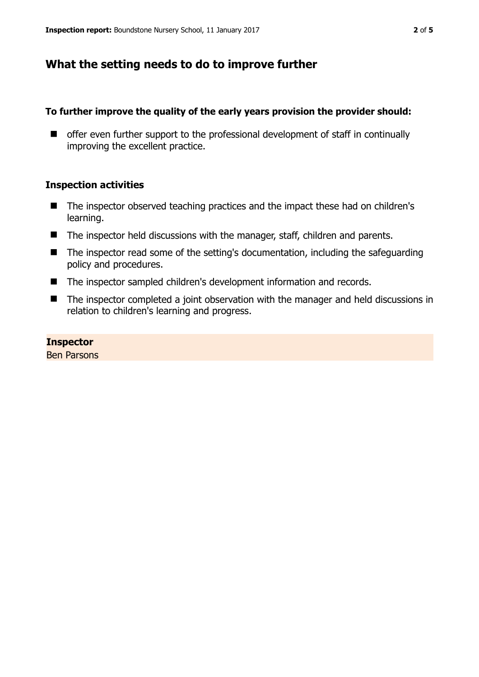## **What the setting needs to do to improve further**

## **To further improve the quality of the early years provision the provider should:**

■ offer even further support to the professional development of staff in continually improving the excellent practice.

## **Inspection activities**

- The inspector observed teaching practices and the impact these had on children's learning.
- The inspector held discussions with the manager, staff, children and parents.
- The inspector read some of the setting's documentation, including the safeguarding policy and procedures.
- The inspector sampled children's development information and records.
- The inspector completed a joint observation with the manager and held discussions in relation to children's learning and progress.

## **Inspector**

Ben Parsons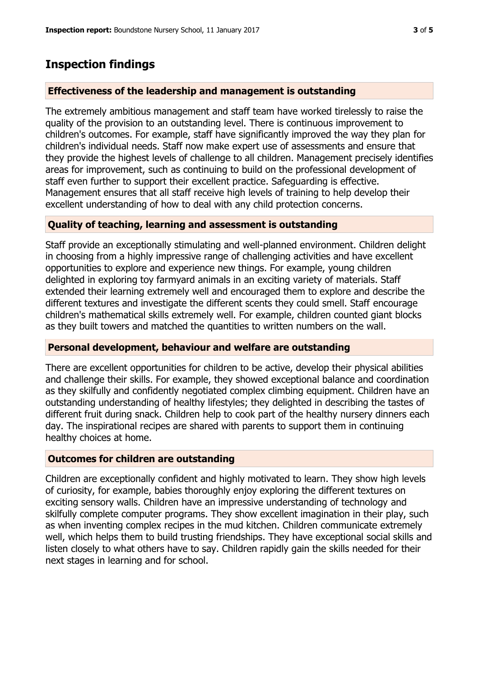# **Inspection findings**

## **Effectiveness of the leadership and management is outstanding**

The extremely ambitious management and staff team have worked tirelessly to raise the quality of the provision to an outstanding level. There is continuous improvement to children's outcomes. For example, staff have significantly improved the way they plan for children's individual needs. Staff now make expert use of assessments and ensure that they provide the highest levels of challenge to all children. Management precisely identifies areas for improvement, such as continuing to build on the professional development of staff even further to support their excellent practice. Safeguarding is effective. Management ensures that all staff receive high levels of training to help develop their excellent understanding of how to deal with any child protection concerns.

## **Quality of teaching, learning and assessment is outstanding**

Staff provide an exceptionally stimulating and well-planned environment. Children delight in choosing from a highly impressive range of challenging activities and have excellent opportunities to explore and experience new things. For example, young children delighted in exploring toy farmyard animals in an exciting variety of materials. Staff extended their learning extremely well and encouraged them to explore and describe the different textures and investigate the different scents they could smell. Staff encourage children's mathematical skills extremely well. For example, children counted giant blocks as they built towers and matched the quantities to written numbers on the wall.

## **Personal development, behaviour and welfare are outstanding**

There are excellent opportunities for children to be active, develop their physical abilities and challenge their skills. For example, they showed exceptional balance and coordination as they skilfully and confidently negotiated complex climbing equipment. Children have an outstanding understanding of healthy lifestyles; they delighted in describing the tastes of different fruit during snack. Children help to cook part of the healthy nursery dinners each day. The inspirational recipes are shared with parents to support them in continuing healthy choices at home.

## **Outcomes for children are outstanding**

Children are exceptionally confident and highly motivated to learn. They show high levels of curiosity, for example, babies thoroughly enjoy exploring the different textures on exciting sensory walls. Children have an impressive understanding of technology and skilfully complete computer programs. They show excellent imagination in their play, such as when inventing complex recipes in the mud kitchen. Children communicate extremely well, which helps them to build trusting friendships. They have exceptional social skills and listen closely to what others have to say. Children rapidly gain the skills needed for their next stages in learning and for school.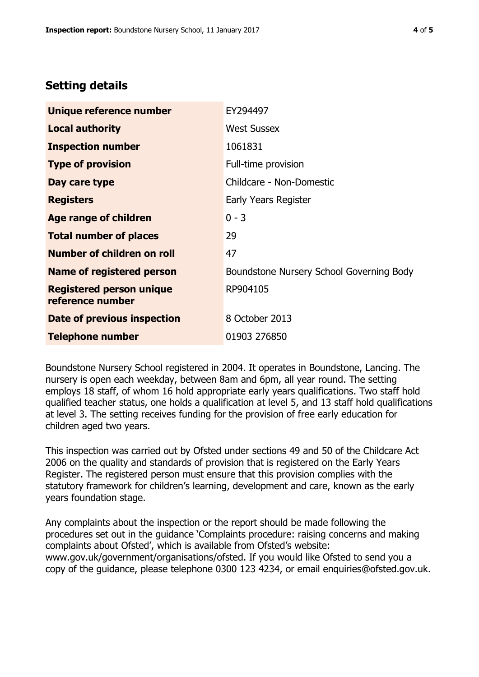## **Setting details**

| Unique reference number                             | EY294497                                 |  |  |
|-----------------------------------------------------|------------------------------------------|--|--|
| <b>Local authority</b>                              | <b>West Sussex</b>                       |  |  |
| <b>Inspection number</b>                            | 1061831                                  |  |  |
| <b>Type of provision</b>                            | Full-time provision                      |  |  |
| Day care type                                       | Childcare - Non-Domestic                 |  |  |
| <b>Registers</b>                                    | Early Years Register                     |  |  |
| <b>Age range of children</b>                        | $0 - 3$                                  |  |  |
| <b>Total number of places</b>                       | 29                                       |  |  |
| Number of children on roll                          | 47                                       |  |  |
| Name of registered person                           | Boundstone Nursery School Governing Body |  |  |
| <b>Registered person unique</b><br>reference number | RP904105                                 |  |  |
| Date of previous inspection                         | 8 October 2013                           |  |  |
| <b>Telephone number</b>                             | 01903 276850                             |  |  |

Boundstone Nursery School registered in 2004. It operates in Boundstone, Lancing. The nursery is open each weekday, between 8am and 6pm, all year round. The setting employs 18 staff, of whom 16 hold appropriate early years qualifications. Two staff hold qualified teacher status, one holds a qualification at level 5, and 13 staff hold qualifications at level 3. The setting receives funding for the provision of free early education for children aged two years.

This inspection was carried out by Ofsted under sections 49 and 50 of the Childcare Act 2006 on the quality and standards of provision that is registered on the Early Years Register. The registered person must ensure that this provision complies with the statutory framework for children's learning, development and care, known as the early years foundation stage.

Any complaints about the inspection or the report should be made following the procedures set out in the guidance 'Complaints procedure: raising concerns and making complaints about Ofsted', which is available from Ofsted's website: www.gov.uk/government/organisations/ofsted. If you would like Ofsted to send you a copy of the guidance, please telephone 0300 123 4234, or email enquiries@ofsted.gov.uk.